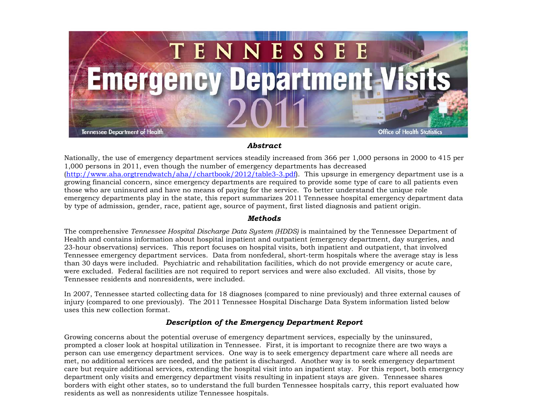

## *Abstract*

Nationally, the use of emergency department services steadily increased from 366 per 1,000 persons in 2000 to 415 per 1,000 persons in 2011, even though the number of emergency departments has decreased [\(http://www.aha.orgtrendwatch/aha//chartbook/2012/table3-3.pdf\)](http://www.aha.org/aha/trendwatch/chartbook/2012/table3-3.pdf). This upsurge in emergency department use is a growing financial concern, since emergency departments are required to provide some type of care to all patients even those who are uninsured and have no means of paying for the service. To better understand the unique role emergency departments play in the state, this report summarizes 2011 Tennessee hospital emergency department data by type of admission, gender, race, patient age, source of payment, first listed diagnosis and patient origin.

## *Methods*

The comprehensive *Tennessee Hospital Discharge Data System (HDDS)* is maintained by the Tennessee Department of Health and contains information about hospital inpatient and outpatient (emergency department, day surgeries, and 23-hour observations) services. This report focuses on hospital visits, both inpatient and outpatient, that involved Tennessee emergency department services. Data from nonfederal, short-term hospitals where the average stay is less than 30 days were included. Psychiatric and rehabilitation facilities, which do not provide emergency or acute care, were excluded. Federal facilities are not required to report services and were also excluded. All visits, those by Tennessee residents and nonresidents, were included.

In 2007, Tennessee started collecting data for 18 diagnoses (compared to nine previously) and three external causes of injury (compared to one previously). The 2011 Tennessee Hospital Discharge Data System information listed below uses this new collection format.

## *Description of the Emergency Department Report*

Growing concerns about the potential overuse of emergency department services, especially by the uninsured, prompted a closer look at hospital utilization in Tennessee. First, it is important to recognize there are two ways a person can use emergency department services. One way is to seek emergency department care where all needs are met, no additional services are needed, and the patient is discharged. Another way is to seek emergency department care but require additional services, extending the hospital visit into an inpatient stay. For this report, both emergency department only visits and emergency department visits resulting in inpatient stays are given. Tennessee shares borders with eight other states, so to understand the full burden Tennessee hospitals carry, this report evaluated how residents as well as nonresidents utilize Tennessee hospitals.